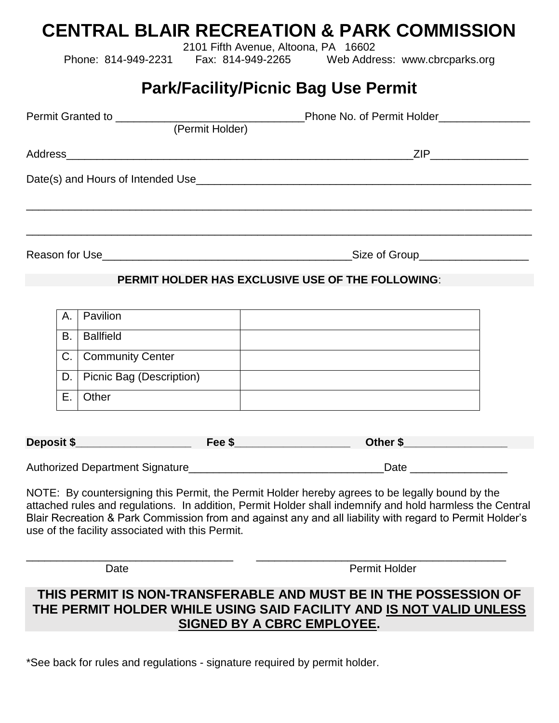# **CENTRAL BLAIR RECREATION & PARK COMMISSION**

2101 Fifth Avenue, Altoona, PA 16602

Phone: 814-949-2231 Fax: 814-949-2265 Web Address: www.cbrcparks.org

## **Park/Facility/Picnic Bag Use Permit**

|  |    | (Permit Holder)          |                                                   |  |  |
|--|----|--------------------------|---------------------------------------------------|--|--|
|  |    |                          | _ZIP_________________________                     |  |  |
|  |    |                          |                                                   |  |  |
|  |    |                          |                                                   |  |  |
|  |    |                          | PERMIT HOLDER HAS EXCLUSIVE USE OF THE FOLLOWING: |  |  |
|  | A. | Pavilion                 |                                                   |  |  |
|  | B. | <b>Ballfield</b>         |                                                   |  |  |
|  |    | C.   Community Center    |                                                   |  |  |
|  | D. | Picnic Bag (Description) |                                                   |  |  |

| В. | <b>Ballfield</b>              |  |
|----|-------------------------------|--|
|    | C.   Community Center         |  |
|    | D.   Picnic Bag (Description) |  |
| F. | Other                         |  |

| Deposit \$ | Fee \$ | Other \$ |
|------------|--------|----------|
|            |        |          |

Authorized Department Signature\_\_\_\_\_\_\_\_\_\_\_\_\_\_\_\_\_\_\_\_\_\_\_\_\_\_\_\_\_\_\_\_Date \_\_\_\_\_\_\_\_\_\_\_\_\_\_\_\_

\_\_\_\_\_\_\_\_\_\_\_\_\_\_\_\_\_\_\_\_\_\_\_\_\_\_\_\_\_\_\_\_\_\_ \_\_\_\_\_\_\_\_\_\_\_\_\_\_\_\_\_\_\_\_\_\_\_\_\_\_\_\_\_\_\_\_\_\_\_\_\_\_\_\_\_

NOTE: By countersigning this Permit, the Permit Holder hereby agrees to be legally bound by the attached rules and regulations. In addition, Permit Holder shall indemnify and hold harmless the Central Blair Recreation & Park Commission from and against any and all liability with regard to Permit Holder's use of the facility associated with this Permit.

Date **Date Permit Holder** 

## **THIS PERMIT IS NON-TRANSFERABLE AND MUST BE IN THE POSSESSION OF THE PERMIT HOLDER WHILE USING SAID FACILITY AND IS NOT VALID UNLESS SIGNED BY A CBRC EMPLOYEE.**

\*See back for rules and regulations - signature required by permit holder.